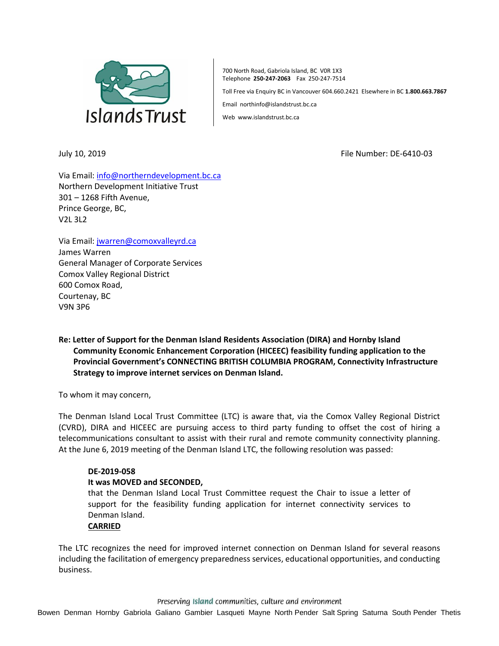

700 North Road, Gabriola Island, BC V0R 1X3 Telephone **250-247-2063** Fax 250-247-7514

Toll Free via Enquiry BC in Vancouver 604.660.2421 Elsewhere in BC **1.800.663.7867**

Email northinfo@islandstrust.bc.ca

Web www.islandstrust.bc.ca

July 10, 2019 File Number: DE-6410-03

Via Email[: info@northerndevelopment.bc.ca](mailto:info@northerndevelopment.bc.ca) Northern Development Initiative Trust 301 – 1268 Fifth Avenue, Prince George, BC, V2L 3L2

Via Email[: jwarren@comoxvalleyrd.ca](mailto:jwarren@comoxvalleyrd.ca) James Warren General Manager of Corporate Services Comox Valley Regional District 600 Comox Road, Courtenay, BC V9N 3P6

# **Re: Letter of Support for the Denman Island Residents Association (DIRA) and Hornby Island Community Economic Enhancement Corporation (HICEEC) feasibility funding application to the Provincial Government's CONNECTING BRITISH COLUMBIA PROGRAM, Connectivity Infrastructure Strategy to improve internet services on Denman Island.**

To whom it may concern,

The Denman Island Local Trust Committee (LTC) is aware that, via the Comox Valley Regional District (CVRD), DIRA and HICEEC are pursuing access to third party funding to offset the cost of hiring a telecommunications consultant to assist with their rural and remote community connectivity planning. At the June 6, 2019 meeting of the Denman Island LTC, the following resolution was passed:

## **DE-2019-058**

#### **It was MOVED and SECONDED,**

that the Denman Island Local Trust Committee request the Chair to issue a letter of support for the feasibility funding application for internet connectivity services to Denman Island.

### **CARRIED**

The LTC recognizes the need for improved internet connection on Denman Island for several reasons including the facilitation of emergency preparedness services, educational opportunities, and conducting business.

Preserving Island communities, culture and environment

Bowen Denman Hornby Gabriola Galiano Gambier Lasqueti Mayne North Pender Salt Spring Saturna South Pender Thetis